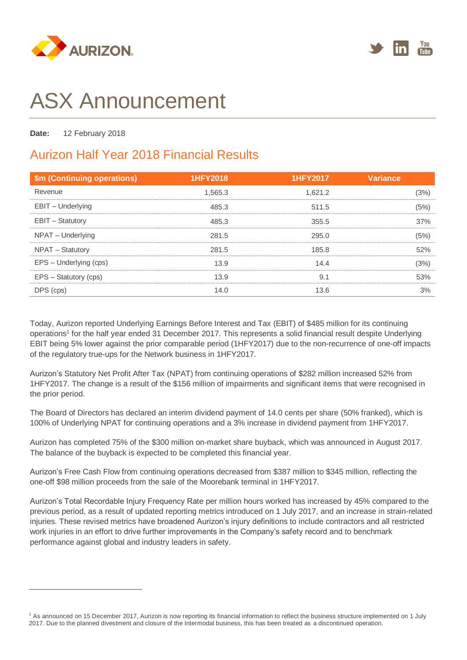



# ASX Announcement

**Date:** 12 February 2018

 $\overline{a}$ 

# Aurizon Half Year 2018 Financial Results

| \$m (Continuing operations) | <b>1HFY2018</b> | 1HFY2017 | <b>Variance</b> |
|-----------------------------|-----------------|----------|-----------------|
| Revenue                     | 1.565.3         | 1.621.2  | (3%)            |
| EBIT - Underlying           | 485.3           | 511.5    | (5%)            |
| <b>EBIT - Statutory</b>     | 485.3           | 355.5    | 37%             |
| NPAT - Underlying           | 281.5           | 295.0    | (5%)            |
| NPAT - Statutory            | 281.5           | 185.8    | 52%             |
| EPS - Underlying (cps)      | 13.9            | 14.4     | (3%)            |
| EPS - Statutory (cps)       | 13.9            | 9.1      | 53%             |
| DPS (cps)                   | 14.0            | 13.6     | 3%              |

Today, Aurizon reported Underlying Earnings Before Interest and Tax (EBIT) of \$485 million for its continuing operations<sup>1</sup> for the half year ended 31 December 2017. This represents a solid financial result despite Underlying EBIT being 5% lower against the prior comparable period (1HFY2017) due to the non-recurrence of one-off impacts of the regulatory true-ups for the Network business in 1HFY2017.

Aurizon's Statutory Net Profit After Tax (NPAT) from continuing operations of \$282 million increased 52% from 1HFY2017. The change is a result of the \$156 million of impairments and significant items that were recognised in the prior period.

The Board of Directors has declared an interim dividend payment of 14.0 cents per share (50% franked), which is 100% of Underlying NPAT for continuing operations and a 3% increase in dividend payment from 1HFY2017.

Aurizon has completed 75% of the \$300 million on-market share buyback, which was announced in August 2017. The balance of the buyback is expected to be completed this financial year.

Aurizon's Free Cash Flow from continuing operations decreased from \$387 million to \$345 million, reflecting the one-off \$98 million proceeds from the sale of the Moorebank terminal in 1HFY2017.

Aurizon's Total Recordable Injury Frequency Rate per million hours worked has increased by 45% compared to the previous period, as a result of updated reporting metrics introduced on 1 July 2017, and an increase in strain-related injuries. These revised metrics have broadened Aurizon's injury definitions to include contractors and all restricted work injuries in an effort to drive further improvements in the Company's safety record and to benchmark performance against global and industry leaders in safety.

<sup>&</sup>lt;sup>1</sup> As announced on 15 December 2017, Aurizon is now reporting its financial information to reflect the business structure implemented on 1 July 2017. Due to the planned divestment and closure of the Intermodal business, this has been treated as a discontinued operation.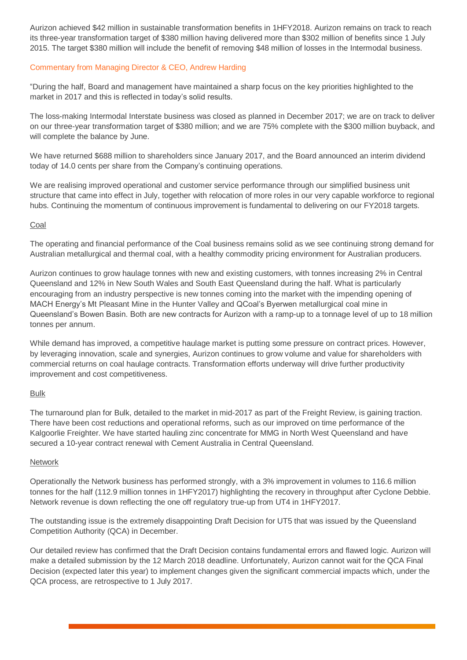Aurizon achieved \$42 million in sustainable transformation benefits in 1HFY2018. Aurizon remains on track to reach its three-year transformation target of \$380 million having delivered more than \$302 million of benefits since 1 July 2015. The target \$380 million will include the benefit of removing \$48 million of losses in the Intermodal business.

## Commentary from Managing Director & CEO, Andrew Harding

"During the half, Board and management have maintained a sharp focus on the key priorities highlighted to the market in 2017 and this is reflected in today's solid results.

The loss-making Intermodal Interstate business was closed as planned in December 2017; we are on track to deliver on our three-year transformation target of \$380 million; and we are 75% complete with the \$300 million buyback, and will complete the balance by June.

We have returned \$688 million to shareholders since January 2017, and the Board announced an interim dividend today of 14.0 cents per share from the Company's continuing operations.

We are realising improved operational and customer service performance through our simplified business unit structure that came into effect in July, together with relocation of more roles in our very capable workforce to regional hubs. Continuing the momentum of continuous improvement is fundamental to delivering on our FY2018 targets.

## Coal

The operating and financial performance of the Coal business remains solid as we see continuing strong demand for Australian metallurgical and thermal coal, with a healthy commodity pricing environment for Australian producers.

Aurizon continues to grow haulage tonnes with new and existing customers, with tonnes increasing 2% in Central Queensland and 12% in New South Wales and South East Queensland during the half. What is particularly encouraging from an industry perspective is new tonnes coming into the market with the impending opening of MACH Energy's Mt Pleasant Mine in the Hunter Valley and QCoal's Byerwen metallurgical coal mine in Queensland's Bowen Basin. Both are new contracts for Aurizon with a ramp-up to a tonnage level of up to 18 million tonnes per annum.

While demand has improved, a competitive haulage market is putting some pressure on contract prices. However, by leveraging innovation, scale and synergies, Aurizon continues to grow volume and value for shareholders with commercial returns on coal haulage contracts. Transformation efforts underway will drive further productivity improvement and cost competitiveness.

# Bulk

The turnaround plan for Bulk, detailed to the market in mid-2017 as part of the Freight Review, is gaining traction. There have been cost reductions and operational reforms, such as our improved on time performance of the Kalgoorlie Freighter. We have started hauling zinc concentrate for MMG in North West Queensland and have secured a 10-year contract renewal with Cement Australia in Central Queensland.

# Network

Operationally the Network business has performed strongly, with a 3% improvement in volumes to 116.6 million tonnes for the half (112.9 million tonnes in 1HFY2017) highlighting the recovery in throughput after Cyclone Debbie. Network revenue is down reflecting the one off regulatory true-up from UT4 in 1HFY2017.

The outstanding issue is the extremely disappointing Draft Decision for UT5 that was issued by the Queensland Competition Authority (QCA) in December.

Our detailed review has confirmed that the Draft Decision contains fundamental errors and flawed logic. Aurizon will make a detailed submission by the 12 March 2018 deadline. Unfortunately, Aurizon cannot wait for the QCA Final Decision (expected later this year) to implement changes given the significant commercial impacts which, under the QCA process, are retrospective to 1 July 2017.